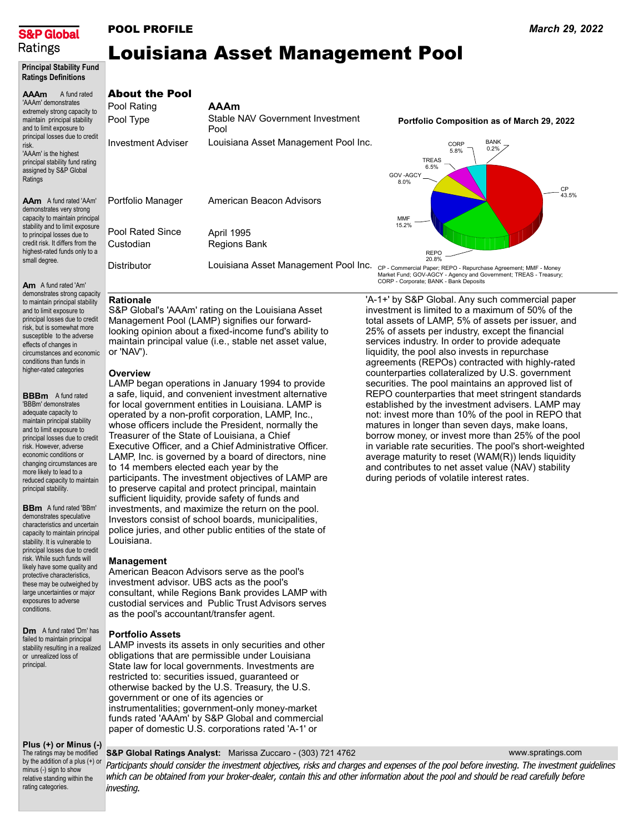

# POOL PROFILE

# Louisiana Asset Management Pool

### Principal Stability Fund Ratings Definitions

### AAAm A fund rated 'AAAm' demonstrates extremely strong capacity to maintain principal stability and to limit exposure to principal losses due to credit risk. 'AAAm' is the highest principal stability fund rating assigned by S&P Global Ratings

AAm A fund rated 'AAm' demonstrates very strong capacity to maintain principal stability and to limit exposure to principal losses due to credit risk. It differs from the highest-rated funds only to a small degree.

Am A fund rated 'Am' demonstrates strong capacity to maintain principal stability and to limit exposure to principal losses due to credit risk, but is somewhat more susceptible to the adverse effects of changes in circumstances and economic conditions than funds in higher-rated categories

**BBBm** A fund rated 'BBBm' demonstrates adequate capacity to maintain principal stability and to limit exposure to principal losses due to credit risk. However, adverse economic conditions or changing circumstances are more likely to lead to a reduced capacity to maintain principal stability.

**BBm** A fund rated 'BBm' demonstrates speculative characteristics and uncertain capacity to maintain principal stability. It is vulnerable to principal losses due to credit risk. While such funds will likely have some quality and protective characteristics, these may be outweighed by large uncertainties or major exposures to adverse conditions.

**Dm** A fund rated 'Dm' has failed to maintain principal stability resulting in a realized or unrealized loss of principal.

### Plus (+) or Minus (-)

The ratings may be modified by the addition of a plus (+) or minus (-) sign to show relative standing within the rating categories.

### S&P Global Ratings Analyst: Marissa Zuccaro - (303) 721 4762

Participants should consider the investment objectives, risks and charges and expenses of the pool before investing. The investment guidelines which can be obtained from your broker-dealer, contain this and other information about the pool and should be read carefully before investing.

### AAAm About the Pool

| Pool Rating                   | AAAm                                     |
|-------------------------------|------------------------------------------|
| Pool Type                     | Stable NAV Government Investment<br>Pool |
| <b>Investment Adviser</b>     | Louisiana Asset Management Pool Inc.     |
| Portfolio Manager             | American Beacon Advisors                 |
| Pool Rated Since<br>Custodian | April 1995<br><b>Regions Bank</b>        |
| <b>Distributor</b>            | Louisiana Asset Management Pool Inc. c   |

# Portfolio Composition as of March 29, 2022



CP - Commercial Paper; REPO - Repurchase Agreement; MMF - Money Market Fund; GOV-AGCY - Agency and Government; TREAS - Treasury; CORP - Corporate; BANK - Bank Deposits

### Rationale

S&P Global's 'AAAm' rating on the Louisiana Asset Management Pool (LAMP) signifies our forwardlooking opinion about a fixed-income fund's ability to maintain principal value (i.e., stable net asset value, or 'NAV').

### **Overview**

LAMP began operations in January 1994 to provide a safe, liquid, and convenient investment alternative for local government entities in Louisiana. LAMP is operated by a non-profit corporation, LAMP, Inc., whose officers include the President, normally the Treasurer of the State of Louisiana, a Chief Executive Officer, and a Chief Administrative Officer. LAMP, Inc. is governed by a board of directors, nine to 14 members elected each year by the participants. The investment objectives of LAMP are to preserve capital and protect principal, maintain sufficient liquidity, provide safety of funds and investments, and maximize the return on the pool. Investors consist of school boards, municipalities, police juries, and other public entities of the state of Louisiana.

## Management

American Beacon Advisors serve as the pool's investment advisor. UBS acts as the pool's consultant, while Regions Bank provides LAMP with custodial services and Public Trust Advisors serves as the pool's accountant/transfer agent.

### Portfolio Assets

LAMP invests its assets in only securities and other obligations that are permissible under Louisiana State law for local governments. Investments are restricted to: securities issued, guaranteed or otherwise backed by the U.S. Treasury, the U.S. government or one of its agencies or instrumentalities; government-only money-market funds rated 'AAAm' by S&P Global and commercial paper of domestic U.S. corporations rated 'A-1' or

'A-1+' by S&P Global. Any such commercial paper investment is limited to a maximum of 50% of the total assets of LAMP, 5% of assets per issuer, and 25% of assets per industry, except the financial services industry. In order to provide adequate liquidity, the pool also invests in repurchase agreements (REPOs) contracted with highly-rated counterparties collateralized by U.S. government securities. The pool maintains an approved list of REPO counterparties that meet stringent standards established by the investment advisers. LAMP may not: invest more than 10% of the pool in REPO that matures in longer than seven days, make loans, borrow money, or invest more than 25% of the pool in variable rate securities. The pool's short-weighted average maturity to reset (WAM(R)) lends liquidity and contributes to net asset value (NAV) stability during periods of volatile interest rates.

www.spratings.com